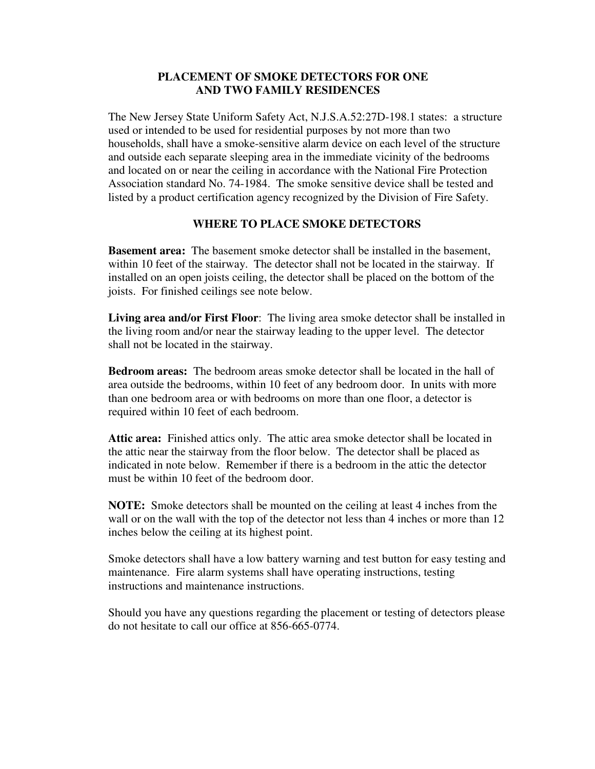## **PLACEMENT OF SMOKE DETECTORS FOR ONE AND TWO FAMILY RESIDENCES**

The New Jersey State Uniform Safety Act, N.J.S.A.52:27D-198.1 states: a structure used or intended to be used for residential purposes by not more than two households, shall have a smoke-sensitive alarm device on each level of the structure and outside each separate sleeping area in the immediate vicinity of the bedrooms and located on or near the ceiling in accordance with the National Fire Protection Association standard No. 74-1984. The smoke sensitive device shall be tested and listed by a product certification agency recognized by the Division of Fire Safety.

## **WHERE TO PLACE SMOKE DETECTORS**

**Basement area:** The basement smoke detector shall be installed in the basement, within 10 feet of the stairway. The detector shall not be located in the stairway. If installed on an open joists ceiling, the detector shall be placed on the bottom of the joists. For finished ceilings see note below.

**Living area and/or First Floor**: The living area smoke detector shall be installed in the living room and/or near the stairway leading to the upper level. The detector shall not be located in the stairway.

**Bedroom areas:** The bedroom areas smoke detector shall be located in the hall of area outside the bedrooms, within 10 feet of any bedroom door. In units with more than one bedroom area or with bedrooms on more than one floor, a detector is required within 10 feet of each bedroom.

**Attic area:** Finished attics only. The attic area smoke detector shall be located in the attic near the stairway from the floor below. The detector shall be placed as indicated in note below. Remember if there is a bedroom in the attic the detector must be within 10 feet of the bedroom door.

**NOTE:** Smoke detectors shall be mounted on the ceiling at least 4 inches from the wall or on the wall with the top of the detector not less than 4 inches or more than 12 inches below the ceiling at its highest point.

Smoke detectors shall have a low battery warning and test button for easy testing and maintenance. Fire alarm systems shall have operating instructions, testing instructions and maintenance instructions.

Should you have any questions regarding the placement or testing of detectors please do not hesitate to call our office at 856-665-0774.